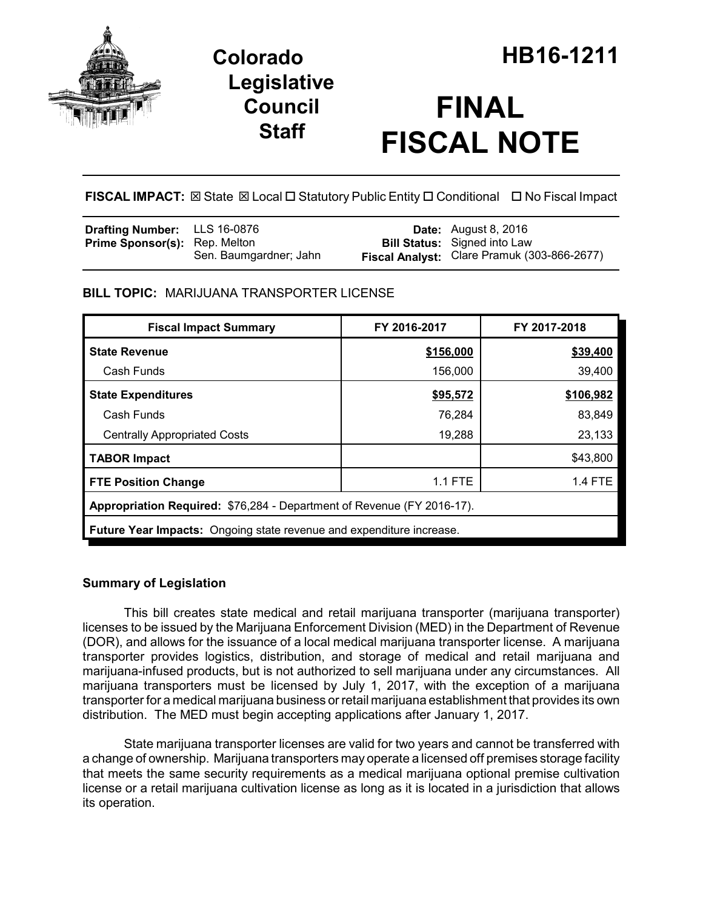

# **Legislative Council Staff**

# **FINAL FISCAL NOTE**

**FISCAL IMPACT:** ⊠ State ⊠ Local □ Statutory Public Entity □ Conditional □ No Fiscal Impact

| <b>Drafting Number:</b> LLS 16-0876  |                        | <b>Date:</b> August 8, 2016                 |
|--------------------------------------|------------------------|---------------------------------------------|
| <b>Prime Sponsor(s): Rep. Melton</b> |                        | <b>Bill Status:</b> Signed into Law         |
|                                      | Sen. Baumgardner; Jahn | Fiscal Analyst: Clare Pramuk (303-866-2677) |

# **BILL TOPIC:** MARIJUANA TRANSPORTER LICENSE

| <b>Fiscal Impact Summary</b>                                                | FY 2016-2017 | FY 2017-2018   |  |  |  |
|-----------------------------------------------------------------------------|--------------|----------------|--|--|--|
| <b>State Revenue</b>                                                        | \$156,000    | \$39,400       |  |  |  |
| Cash Funds                                                                  | 156,000      | 39,400         |  |  |  |
| <b>State Expenditures</b>                                                   | \$95,572     | \$106,982      |  |  |  |
| Cash Funds                                                                  | 76,284       | 83,849         |  |  |  |
| <b>Centrally Appropriated Costs</b>                                         | 19,288       | 23,133         |  |  |  |
| <b>TABOR Impact</b>                                                         |              | \$43,800       |  |  |  |
| <b>FTE Position Change</b>                                                  | 1.1 FTE      | <b>1.4 FTE</b> |  |  |  |
| Appropriation Required: \$76,284 - Department of Revenue (FY 2016-17).      |              |                |  |  |  |
| <b>Future Year Impacts:</b> Ongoing state revenue and expenditure increase. |              |                |  |  |  |

### **Summary of Legislation**

This bill creates state medical and retail marijuana transporter (marijuana transporter) licenses to be issued by the Marijuana Enforcement Division (MED) in the Department of Revenue (DOR), and allows for the issuance of a local medical marijuana transporter license. A marijuana transporter provides logistics, distribution, and storage of medical and retail marijuana and marijuana-infused products, but is not authorized to sell marijuana under any circumstances. All marijuana transporters must be licensed by July 1, 2017, with the exception of a marijuana transporter for a medical marijuana business or retail marijuana establishment that provides its own distribution. The MED must begin accepting applications after January 1, 2017.

State marijuana transporter licenses are valid for two years and cannot be transferred with a change of ownership. Marijuana transporters may operate a licensed off premises storage facility that meets the same security requirements as a medical marijuana optional premise cultivation license or a retail marijuana cultivation license as long as it is located in a jurisdiction that allows its operation.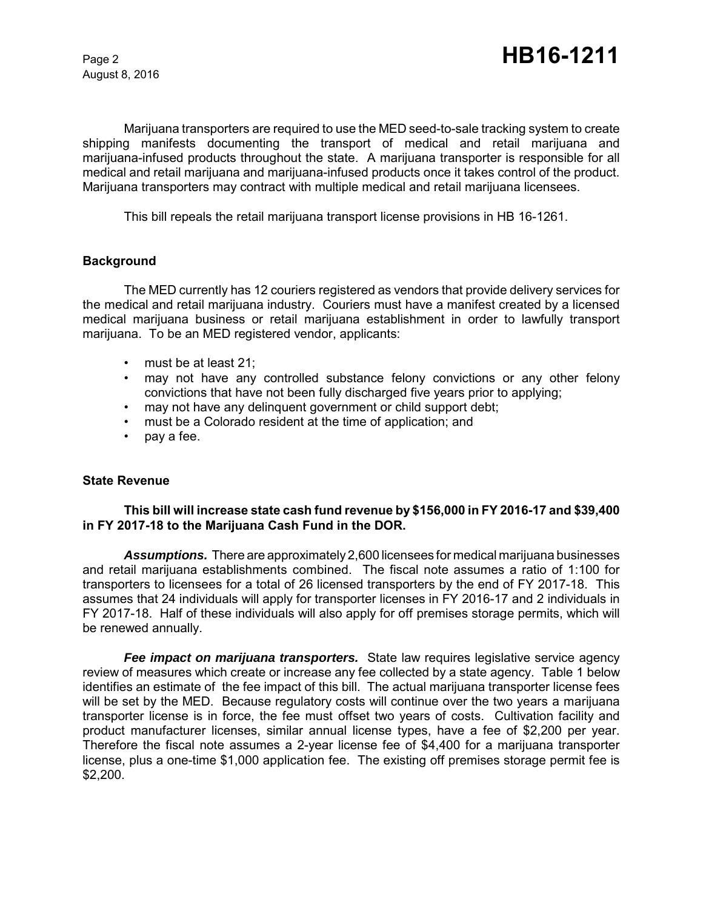August 8, 2016

Marijuana transporters are required to use the MED seed-to-sale tracking system to create shipping manifests documenting the transport of medical and retail marijuana and marijuana-infused products throughout the state. A marijuana transporter is responsible for all medical and retail marijuana and marijuana-infused products once it takes control of the product. Marijuana transporters may contract with multiple medical and retail marijuana licensees.

This bill repeals the retail marijuana transport license provisions in HB 16-1261.

#### **Background**

The MED currently has 12 couriers registered as vendors that provide delivery services for the medical and retail marijuana industry. Couriers must have a manifest created by a licensed medical marijuana business or retail marijuana establishment in order to lawfully transport marijuana. To be an MED registered vendor, applicants:

- must be at least 21;
- may not have any controlled substance felony convictions or any other felony convictions that have not been fully discharged five years prior to applying;
- may not have any delinquent government or child support debt;
- must be a Colorado resident at the time of application; and
- pay a fee.

#### **State Revenue**

### **This bill will increase state cash fund revenue by \$156,000 in FY 2016-17 and \$39,400 in FY 2017-18 to the Marijuana Cash Fund in the DOR.**

*Assumptions.* There are approximately 2,600 licensees for medical marijuana businesses and retail marijuana establishments combined. The fiscal note assumes a ratio of 1:100 for transporters to licensees for a total of 26 licensed transporters by the end of FY 2017-18. This assumes that 24 individuals will apply for transporter licenses in FY 2016-17 and 2 individuals in FY 2017-18. Half of these individuals will also apply for off premises storage permits, which will be renewed annually.

*Fee impact on marijuana transporters.* State law requires legislative service agency review of measures which create or increase any fee collected by a state agency. Table 1 below identifies an estimate of the fee impact of this bill. The actual marijuana transporter license fees will be set by the MED. Because regulatory costs will continue over the two years a marijuana transporter license is in force, the fee must offset two years of costs. Cultivation facility and product manufacturer licenses, similar annual license types, have a fee of \$2,200 per year. Therefore the fiscal note assumes a 2-year license fee of \$4,400 for a marijuana transporter license, plus a one-time \$1,000 application fee. The existing off premises storage permit fee is \$2,200.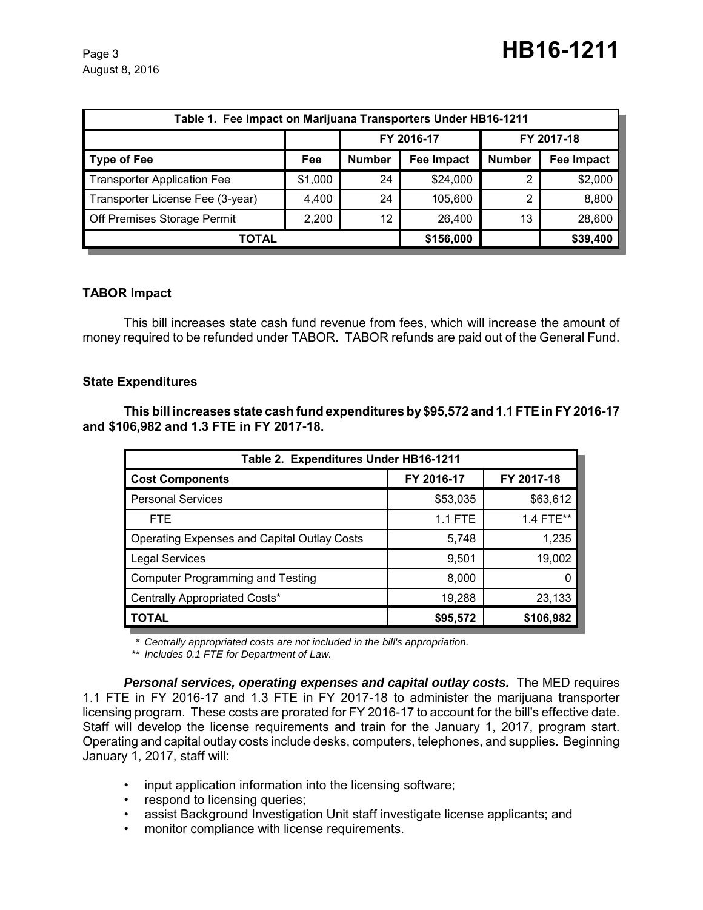August 8, 2016

| Table 1. Fee Impact on Marijuana Transporters Under HB16-1211 |         |               |                   |               |                   |  |
|---------------------------------------------------------------|---------|---------------|-------------------|---------------|-------------------|--|
|                                                               |         | FY 2016-17    |                   | FY 2017-18    |                   |  |
| <b>Type of Fee</b>                                            | Fee     | <b>Number</b> | <b>Fee Impact</b> | <b>Number</b> | <b>Fee Impact</b> |  |
| <b>Transporter Application Fee</b>                            | \$1,000 | 24            | \$24,000          | 2             | \$2,000           |  |
| Transporter License Fee (3-year)                              | 4,400   | 24            | 105,600           | 2             | 8,800             |  |
| Off Premises Storage Permit                                   | 2,200   | 12            | 26,400            | 13            | 28,600            |  |
| TOTAL                                                         |         |               | \$156,000         |               | \$39,400          |  |

# **TABOR Impact**

This bill increases state cash fund revenue from fees, which will increase the amount of money required to be refunded under TABOR. TABOR refunds are paid out of the General Fund.

### **State Expenditures**

**This bill increases state cash fund expenditures by \$95,572 and 1.1 FTE in FY 2016-17 and \$106,982 and 1.3 FTE in FY 2017-18.** 

| Table 2. Expenditures Under HB16-1211              |                |            |  |  |  |
|----------------------------------------------------|----------------|------------|--|--|--|
| <b>Cost Components</b>                             | FY 2016-17     | FY 2017-18 |  |  |  |
| <b>Personal Services</b>                           | \$53,035       | \$63,612   |  |  |  |
| <b>FTE</b>                                         | <b>1.1 FTE</b> | 1.4 FTE**  |  |  |  |
| <b>Operating Expenses and Capital Outlay Costs</b> | 5,748          | 1,235      |  |  |  |
| <b>Legal Services</b>                              | 9,501          | 19,002     |  |  |  |
| <b>Computer Programming and Testing</b>            | 8,000          |            |  |  |  |
| Centrally Appropriated Costs*                      | 19,288         | 23,133     |  |  |  |
| <b>TOTAL</b>                                       | \$95,572       | \$106,982  |  |  |  |

*\* Centrally appropriated costs are not included in the bill's appropriation.*

*\*\* Includes 0.1 FTE for Department of Law.*

*Personal services, operating expenses and capital outlay costs.* **The MED requires** 1.1 FTE in FY 2016-17 and 1.3 FTE in FY 2017-18 to administer the marijuana transporter licensing program. These costs are prorated for FY 2016-17 to account for the bill's effective date. Staff will develop the license requirements and train for the January 1, 2017, program start. Operating and capital outlay costs include desks, computers, telephones, and supplies. Beginning January 1, 2017, staff will:

- input application information into the licensing software;
- respond to licensing queries;
- assist Background Investigation Unit staff investigate license applicants; and
- monitor compliance with license requirements.